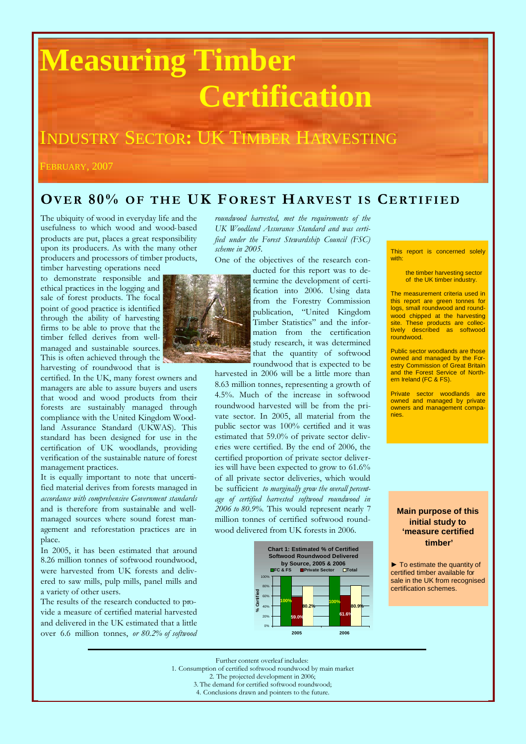# **Measuring Timber Certification**

## INDUSTRY SECTOR**:** UK TIMBER HARVESTING

FEBRUARY, 2007

### **OV E R 80% O F T H E UK F OR E S T HARV E S T I S CE RT I F I E D**

The ubiquity of wood in everyday life and the usefulness to which wood and wood-based products are put, places a great responsibility upon its producers. As with the many other producers and processors of timber products, timber harvesting operations need

to demonstrate responsible and ethical practices in the logging and sale of forest products. The focal point of good practice is identified through the ability of harvesting firms to be able to prove that the timber felled derives from wellmanaged and sustainable sources. This is often achieved through the harvesting of roundwood that is

certified. In the UK, many forest owners and managers are able to assure buyers and users that wood and wood products from their forests are sustainably managed through compliance with the United Kingdom Woodland Assurance Standard (UKWAS). This standard has been designed for use in the certification of UK woodlands, providing verification of the sustainable nature of forest management practices.

It is equally important to note that uncertified material derives from forests managed in *accordance with comprehensive Government standards* and is therefore from sustainable and wellmanaged sources where sound forest management and reforestation practices are in place.

In 2005, it has been estimated that around 8.26 million tonnes of softwood roundwood, were harvested from UK forests and delivered to saw mills, pulp mills, panel mills and a variety of other users.

The results of the research conducted to provide a measure of certified material harvested and delivered in the UK estimated that a little over 6.6 million tonnes, *or 80.2% of softwood* *roundwood harvested, met the requirements of the UK Woodland Assurance Standard and was certified under the Forest Stewardship Council (FSC) scheme in 2005.*

One of the objectives of the research con-

ducted for this report was to determine the development of certification into 2006. Using data from the Forestry Commission publication, "United Kingdom Timber Statistics" and the information from the certification study research, it was determined that the quantity of softwood roundwood that is expected to be

harvested in 2006 will be a little more than 8.63 million tonnes, representing a growth of 4.5%. Much of the increase in softwood roundwood harvested will be from the private sector. In 2005, all material from the public sector was 100% certified and it was estimated that 59.0% of private sector deliveries were certified. By the end of 2006, the certified proportion of private sector deliveries will have been expected to grow to 61.6% of all private sector deliveries, which would be sufficient *to marginally grow the overall percentage of certified harvested softwood roundwood in 2006 to 80.9%.* This would represent nearly 7 million tonnes of certified softwood roundwood delivered from UK forests in 2006.



This report is concerned solely with:

> the timber harvesting sector of the UK timber industry.

The measurement criteria used in this report are green tonnes for logs, small roundwood and roundwood chipped at the harvesting site. These products are collectively described as softwood roundwood.

Public sector woodlands are those owned and managed by the Forestry Commission of Great Britain and the Forest Service of Northern Ireland (FC & FS).

Private sector woodlands are owned and managed by private owners and management companies.

**Main purpose of this initial study to 'measure certified timber'**

► To estimate the quantity of certified timber available for sale in the UK from recognised certification schemes.



Further content overleaf includes:

1. Consumption of certified softwood roundwood by main market

2. The projected development in 2006;

3. The demand for certified softwood roundwood;

4. Conclusions drawn and pointers to the future.